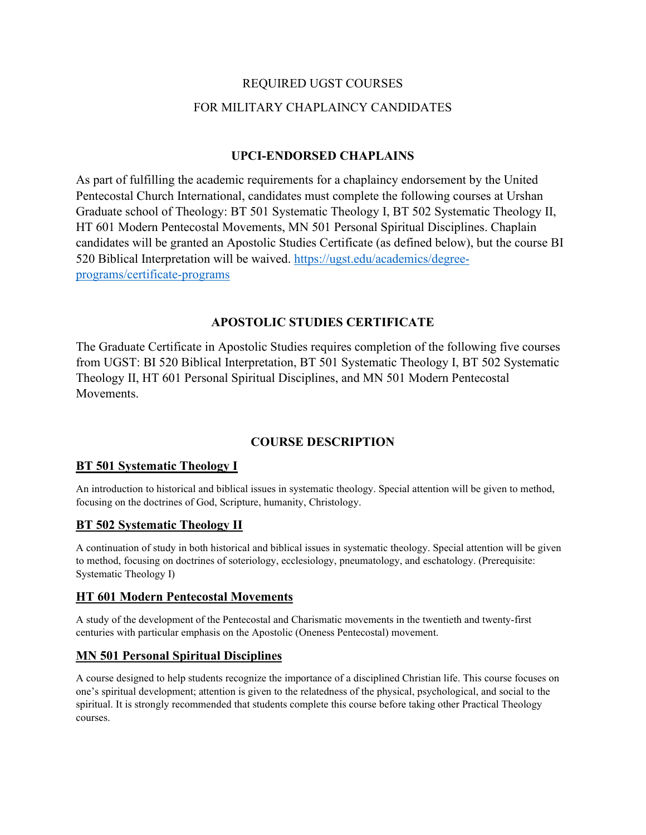# REQUIRED UGST COURSES FOR MILITARY CHAPLAINCY CANDIDATES

### **UPCI-ENDORSED CHAPLAINS**

As part of fulfilling the academic requirements for a chaplaincy endorsement by the United Pentecostal Church International, candidates must complete the following courses at Urshan Graduate school of Theology: BT 501 Systematic Theology I, BT 502 Systematic Theology II, HT 601 Modern Pentecostal Movements, MN 501 Personal Spiritual Disciplines. Chaplain candidates will be granted an Apostolic Studies Certificate (as defined below), but the course BI 520 Biblical Interpretation will be waived. [https://ugst.edu/academics/degree](https://ugst.edu/academics/degree-programs/certificate-programs)[programs/certificate-programs](https://ugst.edu/academics/degree-programs/certificate-programs)

#### **APOSTOLIC STUDIES CERTIFICATE**

The Graduate Certificate in Apostolic Studies requires completion of the following five courses from UGST: BI 520 Biblical Interpretation, BT 501 Systematic Theology I, BT 502 Systematic Theology II, HT 601 Personal Spiritual Disciplines, and MN 501 Modern Pentecostal Movements.

## **COURSE DESCRIPTION**

#### **BT 501 Systematic Theology I**

An introduction to historical and biblical issues in systematic theology. Special attention will be given to method, focusing on the doctrines of God, Scripture, humanity, Christology.

#### **BT 502 Systematic Theology II**

A continuation of study in both historical and biblical issues in systematic theology. Special attention will be given to method, focusing on doctrines of soteriology, ecclesiology, pneumatology, and eschatology. (Prerequisite: Systematic Theology I)

#### **HT 601 Modern Pentecostal Movements**

A study of the development of the Pentecostal and Charismatic movements in the twentieth and twenty-first centuries with particular emphasis on the Apostolic (Oneness Pentecostal) movement.

## **MN 501 Personal Spiritual Disciplines**

A course designed to help students recognize the importance of a disciplined Christian life. This course focuses on one's spiritual development; attention is given to the relatedness of the physical, psychological, and social to the spiritual. It is strongly recommended that students complete this course before taking other Practical Theology courses.